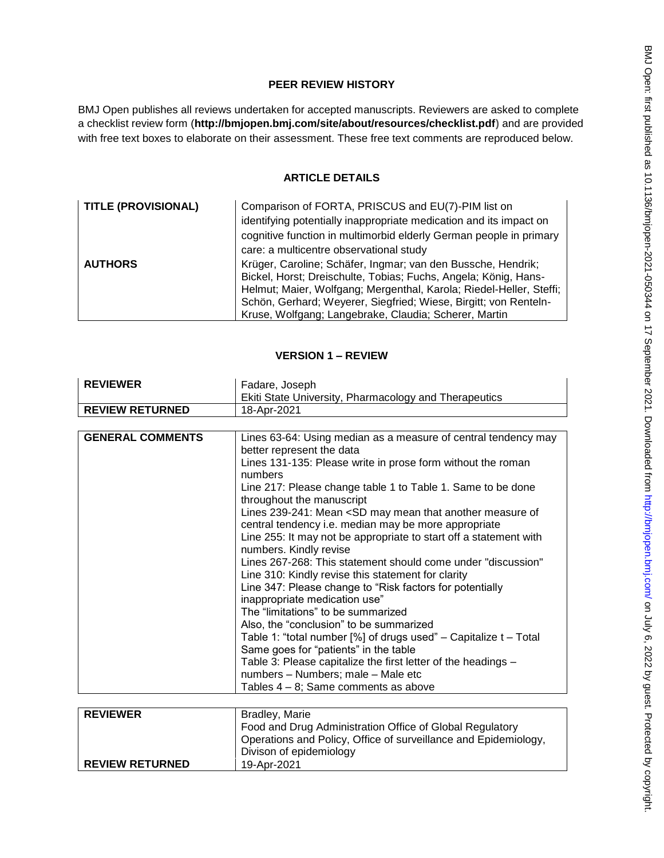# **PEER REVIEW HISTORY**

BMJ Open publishes all reviews undertaken for accepted manuscripts. Reviewers are asked to complete a checklist review form (**[http://bmjopen.bmj.com/site/about/resources/checklist.pdf\)](http://bmjopen.bmj.com/site/about/resources/checklist.pdf)** and are provided with free text boxes to elaborate on their assessment. These free text comments are reproduced below.

# **ARTICLE DETAILS**

| <b>TITLE (PROVISIONAL)</b> | Comparison of FORTA, PRISCUS and EU(7)-PIM list on                  |
|----------------------------|---------------------------------------------------------------------|
|                            | identifying potentially inappropriate medication and its impact on  |
|                            | cognitive function in multimorbid elderly German people in primary  |
|                            | care: a multicentre observational study                             |
| <b>AUTHORS</b>             | Krüger, Caroline; Schäfer, Ingmar; van den Bussche, Hendrik;        |
|                            | Bickel, Horst; Dreischulte, Tobias; Fuchs, Angela; König, Hans-     |
|                            | Helmut; Maier, Wolfgang; Mergenthal, Karola; Riedel-Heller, Steffi; |
|                            | Schön, Gerhard; Weyerer, Siegfried; Wiese, Birgitt; von Renteln-    |
|                            | Kruse, Wolfgang; Langebrake, Claudia; Scherer, Martin               |

## **VERSION 1 – REVIEW**

| <b>REVIEWER</b>         | Fadare, Joseph                                                                                                                                                                                                |
|-------------------------|---------------------------------------------------------------------------------------------------------------------------------------------------------------------------------------------------------------|
|                         | Ekiti State University, Pharmacology and Therapeutics                                                                                                                                                         |
| <b>REVIEW RETURNED</b>  | 18-Apr-2021                                                                                                                                                                                                   |
|                         |                                                                                                                                                                                                               |
| <b>GENERAL COMMENTS</b> | Lines 63-64: Using median as a measure of central tendency may<br>better represent the data<br>Lines 131-135: Please write in prose form without the roman                                                    |
|                         | numbers<br>Line 217: Please change table 1 to Table 1. Same to be done<br>throughout the manuscript                                                                                                           |
|                         | Lines 239-241: Mean <sd another="" may="" mean="" measure="" of<br="" that="">central tendency i.e. median may be more appropriate<br/>Line 255: It may not be appropriate to start off a statement with</sd> |
|                         | numbers. Kindly revise<br>Lines 267-268: This statement should come under "discussion"<br>Line 310: Kindly revise this statement for clarity                                                                  |
|                         | Line 347: Please change to "Risk factors for potentially<br>inappropriate medication use"                                                                                                                     |
|                         | The "limitations" to be summarized                                                                                                                                                                            |
|                         | Also, the "conclusion" to be summarized                                                                                                                                                                       |
|                         | Table 1: "total number [%] of drugs used" - Capitalize t - Total<br>Same goes for "patients" in the table                                                                                                     |
|                         | Table 3: Please capitalize the first letter of the headings -                                                                                                                                                 |
|                         | numbers - Numbers; male - Male etc                                                                                                                                                                            |
|                         | Tables $4 - 8$ ; Same comments as above                                                                                                                                                                       |
|                         |                                                                                                                                                                                                               |
| <b>REVIEWER</b>         | Bradley, Marie                                                                                                                                                                                                |
|                         | Food and Drug Administration Office of Global Regulatory                                                                                                                                                      |
|                         | Operations and Policy, Office of surveillance and Epidemiology,                                                                                                                                               |
|                         | Divison of epidemiology                                                                                                                                                                                       |
| <b>REVIEW RETURNED</b>  | 19-Apr-2021                                                                                                                                                                                                   |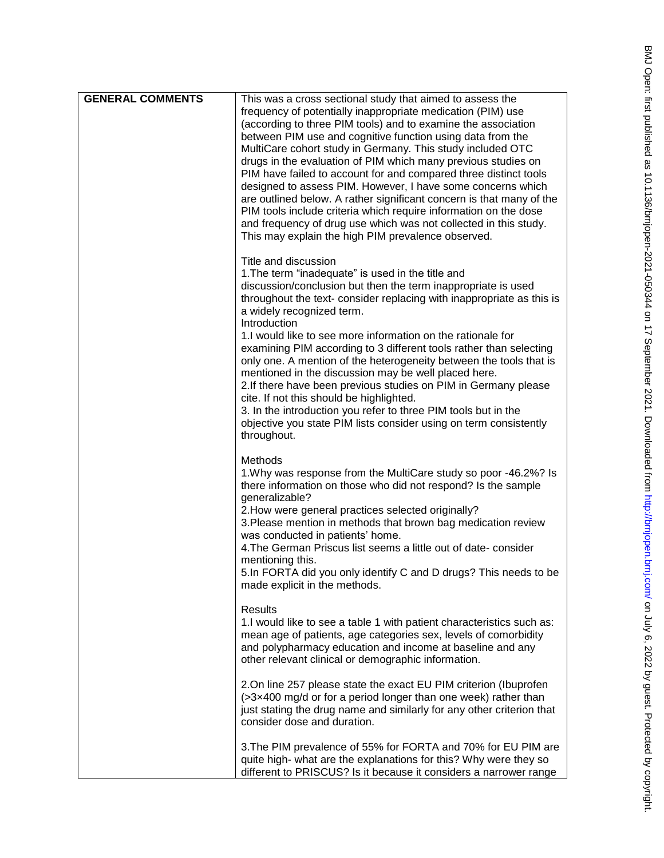| <b>GENERAL COMMENTS</b> | This was a cross sectional study that aimed to assess the<br>frequency of potentially inappropriate medication (PIM) use<br>(according to three PIM tools) and to examine the association<br>between PIM use and cognitive function using data from the<br>MultiCare cohort study in Germany. This study included OTC<br>drugs in the evaluation of PIM which many previous studies on<br>PIM have failed to account for and compared three distinct tools<br>designed to assess PIM. However, I have some concerns which<br>are outlined below. A rather significant concern is that many of the<br>PIM tools include criteria which require information on the dose<br>and frequency of drug use which was not collected in this study.<br>This may explain the high PIM prevalence observed.           |
|-------------------------|-----------------------------------------------------------------------------------------------------------------------------------------------------------------------------------------------------------------------------------------------------------------------------------------------------------------------------------------------------------------------------------------------------------------------------------------------------------------------------------------------------------------------------------------------------------------------------------------------------------------------------------------------------------------------------------------------------------------------------------------------------------------------------------------------------------|
|                         | Title and discussion<br>1. The term "inadequate" is used in the title and<br>discussion/conclusion but then the term inappropriate is used<br>throughout the text- consider replacing with inappropriate as this is<br>a widely recognized term.<br>Introduction<br>1. I would like to see more information on the rationale for<br>examining PIM according to 3 different tools rather than selecting<br>only one. A mention of the heterogeneity between the tools that is<br>mentioned in the discussion may be well placed here.<br>2. If there have been previous studies on PIM in Germany please<br>cite. If not this should be highlighted.<br>3. In the introduction you refer to three PIM tools but in the<br>objective you state PIM lists consider using on term consistently<br>throughout. |
|                         | Methods<br>1. Why was response from the MultiCare study so poor -46.2%? Is<br>there information on those who did not respond? Is the sample<br>generalizable?<br>2. How were general practices selected originally?<br>3. Please mention in methods that brown bag medication review<br>was conducted in patients' home.<br>4. The German Priscus list seems a little out of date-consider<br>mentioning this.<br>5. In FORTA did you only identify C and D drugs? This needs to be<br>made explicit in the methods.                                                                                                                                                                                                                                                                                      |
|                         | <b>Results</b><br>1.I would like to see a table 1 with patient characteristics such as:<br>mean age of patients, age categories sex, levels of comorbidity<br>and polypharmacy education and income at baseline and any<br>other relevant clinical or demographic information.                                                                                                                                                                                                                                                                                                                                                                                                                                                                                                                            |
|                         | 2.On line 257 please state the exact EU PIM criterion (Ibuprofen<br>(>3x400 mg/d or for a period longer than one week) rather than<br>just stating the drug name and similarly for any other criterion that<br>consider dose and duration.                                                                                                                                                                                                                                                                                                                                                                                                                                                                                                                                                                |
|                         | 3. The PIM prevalence of 55% for FORTA and 70% for EU PIM are<br>quite high- what are the explanations for this? Why were they so<br>different to PRISCUS? Is it because it considers a narrower range                                                                                                                                                                                                                                                                                                                                                                                                                                                                                                                                                                                                    |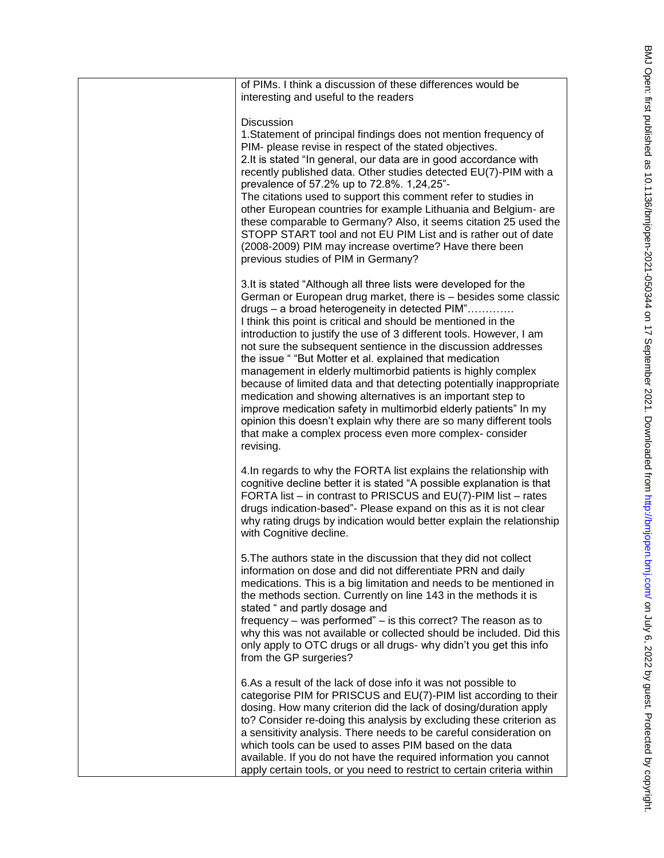of PIMs. I think a discussion of these differences would be interesting and useful to the readers

#### **Discussion**

1.Statement of principal findings does not mention frequency of PIM - please revise in respect of the stated objectives. 2.It is stated "In general, our data are in good accordance with recently published data. Other studies detected EU(7) -PIM with a prevalence of 57.2% up to 72.8%. 1,24,25" -

The citations used to support this comment refer to studies in other European countries for example Lithuania and Belgium - are these comparable to Germany? Also, it seems citation 25 used the STOPP START tool and not EU PIM List and is rather out of date (2008 -2009) PIM may increase overtime? Have there been previous studies of PIM in Germany?

3.It is stated "Although all three lists were developed for the German or European drug market, there is – besides some classic drugs – a broad heterogeneity in detected PIM"…………. I think this point is critical and should be mentioned in the introduction to justify the use of 3 different tools. However, I am not sure the subsequent sentience in the discussion addresses the issue " "But Motter et al. explained that medication management in elderly multimorbid patients is highly complex because of limited data and that detecting potentially inappropriate medication and showing alternatives is an important step to improve medication safety in multimorbid elderly patients" In my opinion this doesn't explain why there are so many different tools that make a complex process even more complex - consider revising.

4.In regards to why the FORTA list explains the relationship with cognitive decline better it is stated "A possible explanation is that FORTA list – in contrast to PRISCUS and EU(7)-PIM list – rates drugs indication -based" - Please expand on this as it is not clear why rating drugs by indication would better explain the relationship with Cognitive decline.

5.The authors state in the discussion that they did not collect information on dose and did not differentiate PRN and daily medications. This is a big limitation and needs to be mentioned in the methods section. Currently on line 143 in the methods it is stated " and partly dosage and

frequency – was performed" – is this correct? The reason as to why this was not available or collected should be included. Did this only apply to OTC drugs or all drugs - why didn't you get this info from the GP surgeries?

6.As a result of the lack of dose info it was not possible to categorise PIM for PRISCUS and EU(7) -PIM list according to their dosing. How many criterion did the lack of dosing/duration apply to? Consider re -doing this analysis by excluding these criterion as a sensitivity analysis. There needs to be careful consideration on which tools can be used to asses PIM based on the data available. If you do not have the required information you cannot apply certain tools, or you need to restrict to certain criteria within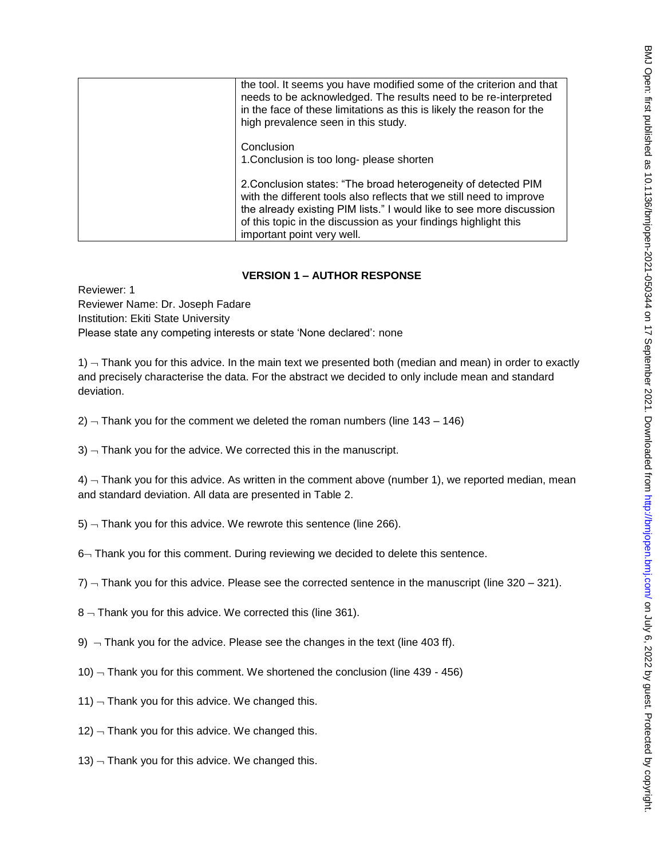| the tool. It seems you have modified some of the criterion and that<br>needs to be acknowledged. The results need to be re-interpreted<br>in the face of these limitations as this is likely the reason for the<br>high prevalence seen in this study.                                                          |
|-----------------------------------------------------------------------------------------------------------------------------------------------------------------------------------------------------------------------------------------------------------------------------------------------------------------|
| Conclusion<br>1. Conclusion is too long- please shorten                                                                                                                                                                                                                                                         |
| 2. Conclusion states: "The broad heterogeneity of detected PIM<br>with the different tools also reflects that we still need to improve<br>the already existing PIM lists." I would like to see more discussion<br>of this topic in the discussion as your findings highlight this<br>important point very well. |

## **VERSION 1 – AUTHOR RESPONSE**

Reviewer: 1 Reviewer Name: Dr. Joseph Fadare Institution: Ekiti State University Please state any competing interests or state 'None declared': none

 $1)$   $\neg$  Thank you for this advice. In the main text we presented both (median and mean) in order to exactly and precisely characterise the data. For the abstract we decided to only include mean and standard deviation.

 $2$ )  $-$  Thank you for the comment we deleted the roman numbers (line 143 – 146)

 $3$ )  $-$  Thank you for the advice. We corrected this in the manuscript.

 $4)$   $\neg$  Thank you for this advice. As written in the comment above (number 1), we reported median, mean and standard deviation. All data are presented in Table 2.

- $5$ )  $-$  Thank you for this advice. We rewrote this sentence (line 266).
- 6-Thank you for this comment. During reviewing we decided to delete this sentence.
- $7)$   $\neg$  Thank you for this advice. Please see the corrected sentence in the manuscript (line 320 321).
- $8 -$  Thank you for this advice. We corrected this (line 361).
- 9)  $\rightarrow$  Thank you for the advice. Please see the changes in the text (line 403 ff).
- 10)  $-$  Thank you for this comment. We shortened the conclusion (line 439 456)
- 11)  $\neg$  Thank you for this advice. We changed this.
- $12$ )  $-$  Thank you for this advice. We changed this.
- 13)  $-$  Thank you for this advice. We changed this.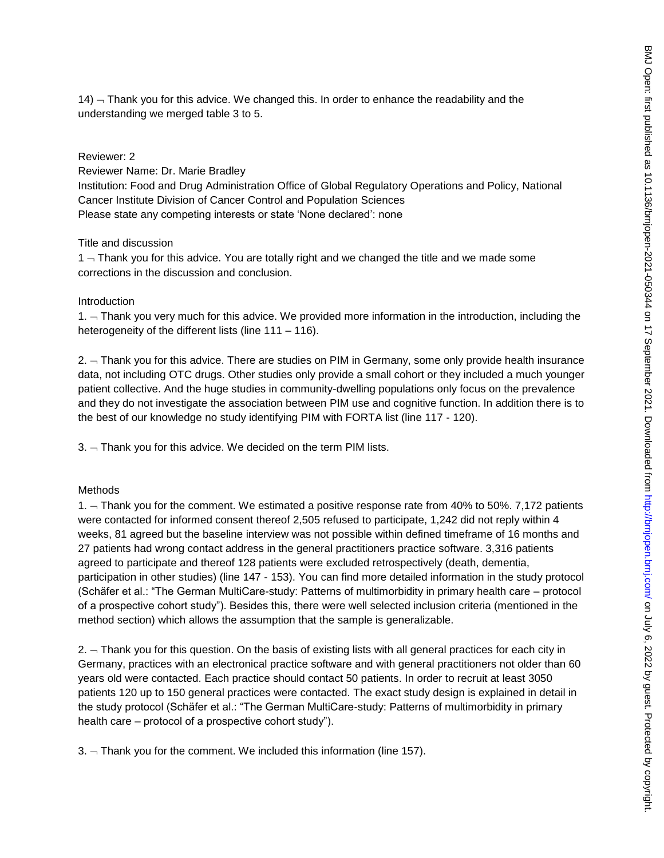$14$ )  $\overline{\phantom{a}}$  Thank you for this advice. We changed this. In order to enhance the readability and the understanding we merged table 3 to 5.

#### Reviewer: 2

Reviewer Name: Dr. Marie Bradley Institution: Food and Drug Administration Office of Global Regulatory Operations and Policy, National Cancer Institute Division of Cancer Control and Population Sciences Please state any competing interests or state 'None declared': none

#### Title and discussion

 $1 -$  Thank you for this advice. You are totally right and we changed the title and we made some corrections in the discussion and conclusion.

#### **Introduction**

 $1.$   $\neg$  Thank you very much for this advice. We provided more information in the introduction, including the heterogeneity of the different lists (line 111 – 116).

 $2.$   $-$  Thank you for this advice. There are studies on PIM in Germany, some only provide health insurance data, not including OTC drugs. Other studies only provide a small cohort or they included a much younger patient collective. And the huge studies in community-dwelling populations only focus on the prevalence and they do not investigate the association between PIM use and cognitive function. In addition there is to the best of our knowledge no study identifying PIM with FORTA list (line 117 - 120).

 $3. -$  Thank you for this advice. We decided on the term PIM lists.

#### Methods

1.  $\neg$  Thank you for the comment. We estimated a positive response rate from 40% to 50%. 7,172 patients were contacted for informed consent thereof 2,505 refused to participate, 1,242 did not reply within 4 weeks, 81 agreed but the baseline interview was not possible within defined timeframe of 16 months and 27 patients had wrong contact address in the general practitioners practice software. 3,316 patients agreed to participate and thereof 128 patients were excluded retrospectively (death, dementia, participation in other studies) (line 147 - 153). You can find more detailed information in the study protocol (Schäfer et al.: "The German MultiCare-study: Patterns of multimorbidity in primary health care – protocol of a prospective cohort study"). Besides this, there were well selected inclusion criteria (mentioned in the method section) which allows the assumption that the sample is generalizable.

2.  $\neg$  Thank you for this question. On the basis of existing lists with all general practices for each city in Germany, practices with an electronical practice software and with general practitioners not older than 60 years old were contacted. Each practice should contact 50 patients. In order to recruit at least 3050 patients 120 up to 150 general practices were contacted. The exact study design is explained in detail in the study protocol (Schäfer et al.: "The German MultiCare-study: Patterns of multimorbidity in primary health care – protocol of a prospective cohort study").

 $3. -$  Thank you for the comment. We included this information (line 157).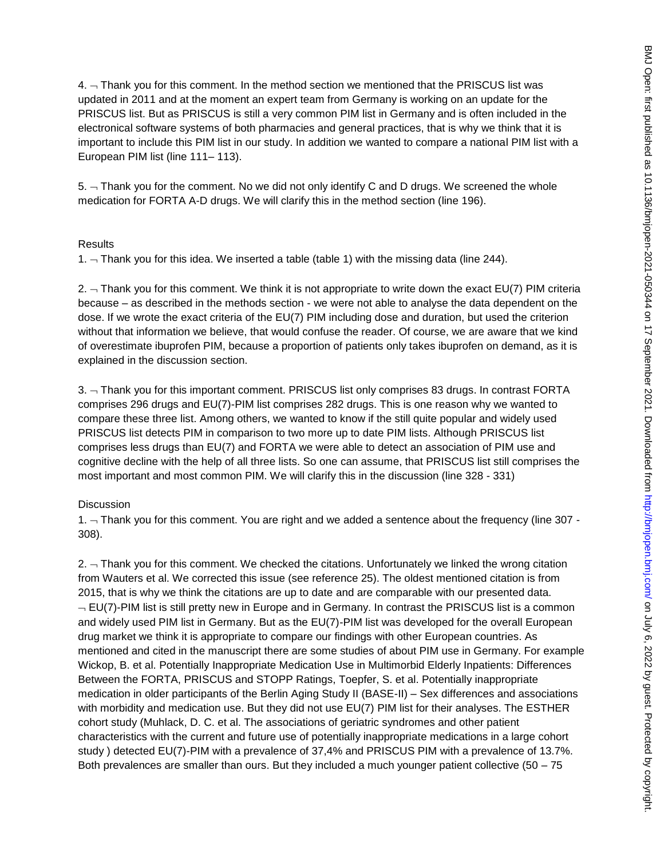$4.$   $\neg$  Thank you for this comment. In the method section we mentioned that the PRISCUS list was updated in 2011 and at the moment an expert team from Germany is working on an update for the PRISCUS list. But as PRISCUS is still a very common PIM list in Germany and is often included in the electronical software systems of both pharmacies and general practices, that is why we think that it is important to include this PIM list in our study. In addition we wanted to compare a national PIM list with a European PIM list (line 111– 113).

 $5.$   $-$  Thank you for the comment. No we did not only identify C and D drugs. We screened the whole medication for FORTA A-D drugs. We will clarify this in the method section (line 196).

#### Results

1.  $\neg$  Thank you for this idea. We inserted a table (table 1) with the missing data (line 244).

2.  $\sim$  Thank you for this comment. We think it is not appropriate to write down the exact EU(7) PIM criteria because – as described in the methods section - we were not able to analyse the data dependent on the dose. If we wrote the exact criteria of the EU(7) PIM including dose and duration, but used the criterion without that information we believe, that would confuse the reader. Of course, we are aware that we kind of overestimate ibuprofen PIM, because a proportion of patients only takes ibuprofen on demand, as it is explained in the discussion section.

3. Thank you for this important comment. PRISCUS list only comprises 83 drugs. In contrast FORTA comprises 296 drugs and EU(7)-PIM list comprises 282 drugs. This is one reason why we wanted to compare these three list. Among others, we wanted to know if the still quite popular and widely used PRISCUS list detects PIM in comparison to two more up to date PIM lists. Although PRISCUS list comprises less drugs than EU(7) and FORTA we were able to detect an association of PIM use and cognitive decline with the help of all three lists. So one can assume, that PRISCUS list still comprises the most important and most common PIM. We will clarify this in the discussion (line 328 - 331)

#### **Discussion**

1.  $\neg$  Thank you for this comment. You are right and we added a sentence about the frequency (line 307 -308).

2.  $\sim$  Thank you for this comment. We checked the citations. Unfortunately we linked the wrong citation from Wauters et al. We corrected this issue (see reference 25). The oldest mentioned citation is from 2015, that is why we think the citations are up to date and are comparable with our presented data.  $-$  EU(7)-PIM list is still pretty new in Europe and in Germany. In contrast the PRISCUS list is a common and widely used PIM list in Germany. But as the EU(7)-PIM list was developed for the overall European drug market we think it is appropriate to compare our findings with other European countries. As mentioned and cited in the manuscript there are some studies of about PIM use in Germany. For example Wickop, B. et al. Potentially Inappropriate Medication Use in Multimorbid Elderly Inpatients: Differences Between the FORTA, PRISCUS and STOPP Ratings, Toepfer, S. et al. Potentially inappropriate medication in older participants of the Berlin Aging Study II (BASE-II) – Sex differences and associations with morbidity and medication use. But they did not use EU(7) PIM list for their analyses. The ESTHER cohort study (Muhlack, D. C. et al. The associations of geriatric syndromes and other patient characteristics with the current and future use of potentially inappropriate medications in a large cohort study ) detected EU(7)-PIM with a prevalence of 37,4% and PRISCUS PIM with a prevalence of 13.7%. Both prevalences are smaller than ours. But they included a much younger patient collective (50 – 75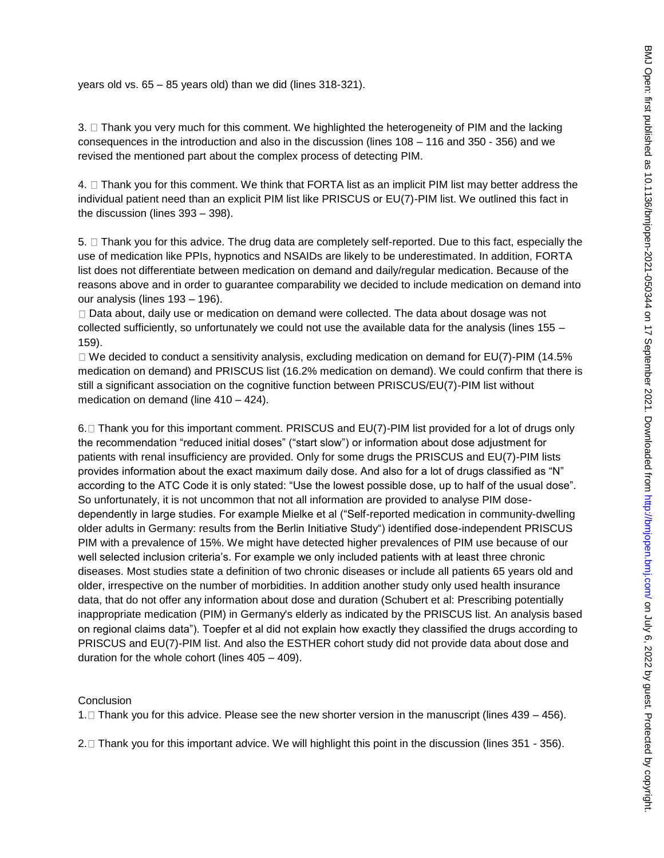years old vs. 65 – 85 years old) than we did (lines 318-321).

 $3. \Box$  Thank you very much for this comment. We highlighted the heterogeneity of PIM and the lacking consequences in the introduction and also in the discussion (lines 108 – 116 and 350 - 356) and we revised the mentioned part about the complex process of detecting PIM.

4.  $\Box$  Thank you for this comment. We think that FORTA list as an implicit PIM list may better address the individual patient need than an explicit PIM list like PRISCUS or EU(7)-PIM list. We outlined this fact in the discussion (lines 393 – 398).

5.  $\Box$  Thank you for this advice. The drug data are completely self-reported. Due to this fact, especially the use of medication like PPIs, hypnotics and NSAIDs are likely to be underestimated. In addition, FORTA list does not differentiate between medication on demand and daily/regular medication. Because of the reasons above and in order to guarantee comparability we decided to include medication on demand into our analysis (lines 193 – 196).

 $\Box$  Data about, daily use or medication on demand were collected. The data about dosage was not collected sufficiently, so unfortunately we could not use the available data for the analysis (lines 155 – 159).

 $\Box$  We decided to conduct a sensitivity analysis, excluding medication on demand for EU(7)-PIM (14.5% medication on demand) and PRISCUS list (16.2% medication on demand). We could confirm that there is still a significant association on the cognitive function between PRISCUS/EU(7)-PIM list without medication on demand (line 410 – 424).

6.  $\Box$  Thank you for this important comment. PRISCUS and EU(7)-PIM list provided for a lot of drugs only the recommendation "reduced initial doses" ("start slow") or information about dose adjustment for patients with renal insufficiency are provided. Only for some drugs the PRISCUS and EU(7)-PIM lists provides information about the exact maximum daily dose. And also for a lot of drugs classified as "N" according to the ATC Code it is only stated: "Use the lowest possible dose, up to half of the usual dose". So unfortunately, it is not uncommon that not all information are provided to analyse PIM dosedependently in large studies. For example Mielke et al ("Self-reported medication in community-dwelling older adults in Germany: results from the Berlin Initiative Study") identified dose-independent PRISCUS PIM with a prevalence of 15%. We might have detected higher prevalences of PIM use because of our well selected inclusion criteria's. For example we only included patients with at least three chronic diseases. Most studies state a definition of two chronic diseases or include all patients 65 years old and older, irrespective on the number of morbidities. In addition another study only used health insurance data, that do not offer any information about dose and duration (Schubert et al: Prescribing potentially inappropriate medication (PIM) in Germany's elderly as indicated by the PRISCUS list. An analysis based on regional claims data"). Toepfer et al did not explain how exactly they classified the drugs according to PRISCUS and EU(7)-PIM list. And also the ESTHER cohort study did not provide data about dose and duration for the whole cohort (lines 405 – 409).

#### **Conclusion**

1.  $\Box$  Thank you for this advice. Please see the new shorter version in the manuscript (lines 439 – 456).

2. □ Thank you for this important advice. We will highlight this point in the discussion (lines 351 - 356).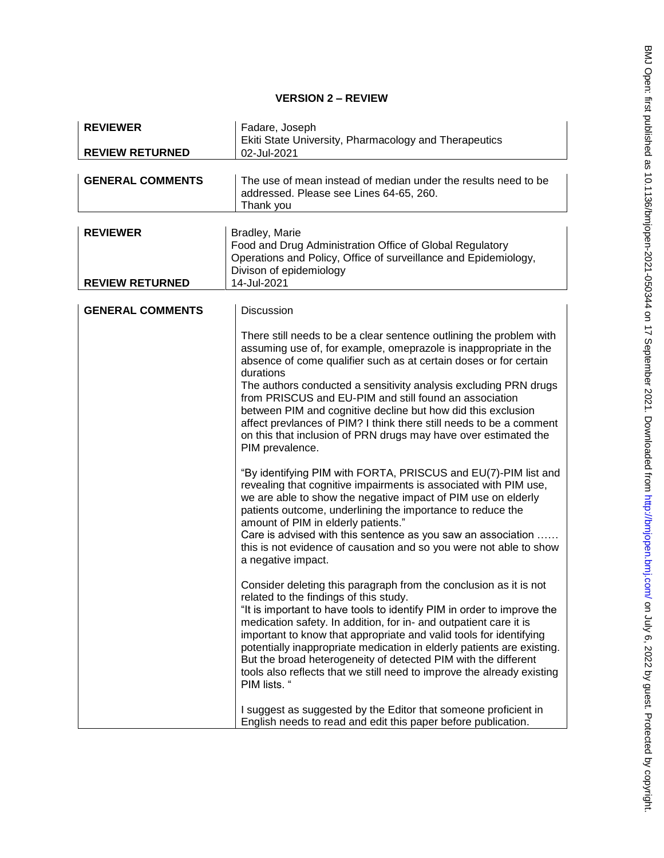# **VERSION 2 – REVIEW**

| <b>REVIEWER</b>                           | Fadare, Joseph<br>Ekiti State University, Pharmacology and Therapeutics                                                                                                                                                                                                                                                                                                                                                                                                                                                                                                                                                                                                                                                                                                                                                                                                                                                                                                                                                                                      |
|-------------------------------------------|--------------------------------------------------------------------------------------------------------------------------------------------------------------------------------------------------------------------------------------------------------------------------------------------------------------------------------------------------------------------------------------------------------------------------------------------------------------------------------------------------------------------------------------------------------------------------------------------------------------------------------------------------------------------------------------------------------------------------------------------------------------------------------------------------------------------------------------------------------------------------------------------------------------------------------------------------------------------------------------------------------------------------------------------------------------|
| <b>REVIEW RETURNED</b>                    | 02-Jul-2021                                                                                                                                                                                                                                                                                                                                                                                                                                                                                                                                                                                                                                                                                                                                                                                                                                                                                                                                                                                                                                                  |
| <b>GENERAL COMMENTS</b>                   | The use of mean instead of median under the results need to be<br>addressed. Please see Lines 64-65, 260.<br>Thank you                                                                                                                                                                                                                                                                                                                                                                                                                                                                                                                                                                                                                                                                                                                                                                                                                                                                                                                                       |
| <b>REVIEWER</b><br><b>REVIEW RETURNED</b> | Bradley, Marie<br>Food and Drug Administration Office of Global Regulatory<br>Operations and Policy, Office of surveillance and Epidemiology,<br>Divison of epidemiology<br>14-Jul-2021                                                                                                                                                                                                                                                                                                                                                                                                                                                                                                                                                                                                                                                                                                                                                                                                                                                                      |
| <b>GENERAL COMMENTS</b>                   | <b>Discussion</b>                                                                                                                                                                                                                                                                                                                                                                                                                                                                                                                                                                                                                                                                                                                                                                                                                                                                                                                                                                                                                                            |
|                                           | There still needs to be a clear sentence outlining the problem with<br>assuming use of, for example, omeprazole is inappropriate in the<br>absence of come qualifier such as at certain doses or for certain<br>durations<br>The authors conducted a sensitivity analysis excluding PRN drugs<br>from PRISCUS and EU-PIM and still found an association<br>between PIM and cognitive decline but how did this exclusion<br>affect prevlances of PIM? I think there still needs to be a comment<br>on this that inclusion of PRN drugs may have over estimated the<br>PIM prevalence.<br>"By identifying PIM with FORTA, PRISCUS and EU(7)-PIM list and<br>revealing that cognitive impairments is associated with PIM use,<br>we are able to show the negative impact of PIM use on elderly<br>patients outcome, underlining the importance to reduce the<br>amount of PIM in elderly patients."<br>Care is advised with this sentence as you saw an association<br>this is not evidence of causation and so you were not able to show<br>a negative impact. |
|                                           | Consider deleting this paragraph from the conclusion as it is not<br>related to the findings of this study.<br>"It is important to have tools to identify PIM in order to improve the<br>medication safety. In addition, for in- and outpatient care it is<br>important to know that appropriate and valid tools for identifying<br>potentially inappropriate medication in elderly patients are existing.<br>But the broad heterogeneity of detected PIM with the different<br>tools also reflects that we still need to improve the already existing<br>PIM lists. "<br>I suggest as suggested by the Editor that someone proficient in<br>English needs to read and edit this paper before publication.                                                                                                                                                                                                                                                                                                                                                   |